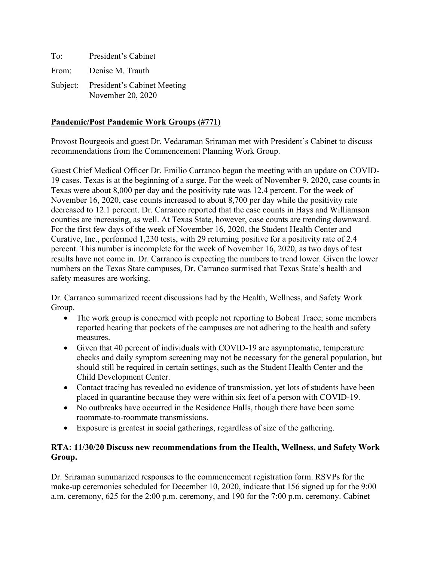| To: | President's Cabinet                                       |
|-----|-----------------------------------------------------------|
|     | From: Denise M. Trauth                                    |
|     | Subject: President's Cabinet Meeting<br>November 20, 2020 |

## **Pandemic/Post Pandemic Work Groups (#771)**

Provost Bourgeois and guest Dr. Vedaraman Sriraman met with President's Cabinet to discuss recommendations from the Commencement Planning Work Group.

Guest Chief Medical Officer Dr. Emilio Carranco began the meeting with an update on COVID-19 cases. Texas is at the beginning of a surge. For the week of November 9, 2020, case counts in Texas were about 8,000 per day and the positivity rate was 12.4 percent. For the week of November 16, 2020, case counts increased to about 8,700 per day while the positivity rate decreased to 12.1 percent. Dr. Carranco reported that the case counts in Hays and Williamson counties are increasing, as well. At Texas State, however, case counts are trending downward. For the first few days of the week of November 16, 2020, the Student Health Center and Curative, Inc., performed 1,230 tests, with 29 returning positive for a positivity rate of 2.4 percent. This number is incomplete for the week of November 16, 2020, as two days of test results have not come in. Dr. Carranco is expecting the numbers to trend lower. Given the lower numbers on the Texas State campuses, Dr. Carranco surmised that Texas State's health and safety measures are working.

Dr. Carranco summarized recent discussions had by the Health, Wellness, and Safety Work Group.

- The work group is concerned with people not reporting to Bobcat Trace; some members reported hearing that pockets of the campuses are not adhering to the health and safety measures.
- Given that 40 percent of individuals with COVID-19 are asymptomatic, temperature checks and daily symptom screening may not be necessary for the general population, but should still be required in certain settings, such as the Student Health Center and the Child Development Center.
- Contact tracing has revealed no evidence of transmission, yet lots of students have been placed in quarantine because they were within six feet of a person with COVID-19.
- No outbreaks have occurred in the Residence Halls, though there have been some roommate-to-roommate transmissions.
- Exposure is greatest in social gatherings, regardless of size of the gathering.

## **RTA: 11/30/20 Discuss new recommendations from the Health, Wellness, and Safety Work Group.**

Dr. Sriraman summarized responses to the commencement registration form. RSVPs for the make-up ceremonies scheduled for December 10, 2020, indicate that 156 signed up for the 9:00 a.m. ceremony, 625 for the 2:00 p.m. ceremony, and 190 for the 7:00 p.m. ceremony. Cabinet